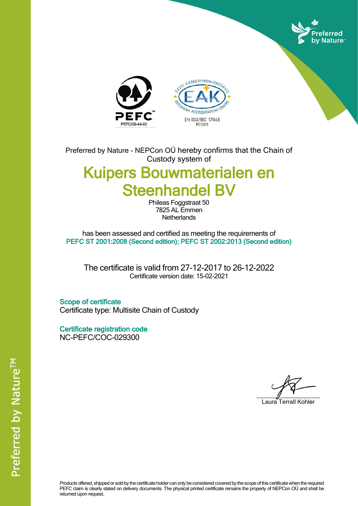





Preferred by Nature - NEPCon OÜ hereby confirms that the Chain of Custody system of

## Kuipers Bouwmaterialen en Steenhandel BV

Phileas Foggstraat 50 7825 AL Emmen **Netherlands** 

has been assessed and certified as meeting the requirements of PEFC ST 2001:2008 (Second edition); PEFC ST 2002:2013 (Second edition)

The certificate is valid from 27-12-2017 to 26-12-2022 Certificate version date: 15-02-2021

Scope of certificate Certificate type: Multisite Chain of Custody

Certificate registration code NC-PEFC/COC-029300

Laura Terrall Kohler

Products offered, shipped or sold by the certificate holder can only be considered covered by the scope of this certificate when the required PEFC claim is clearly stated on delivery documents. The physical printed certificate remains the property of NEPCon OÜ and shall be returned upon request.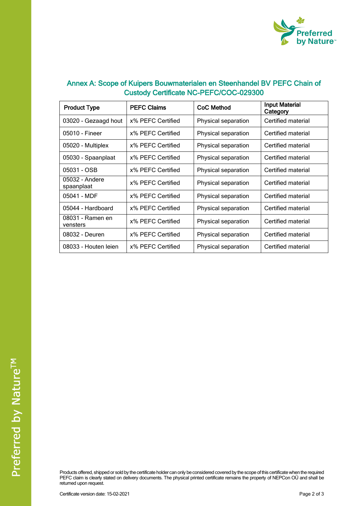

| Annex A: Scope of Kuipers Bouwmaterialen en Steenhandel BV PEFC Chain of |
|--------------------------------------------------------------------------|
| <b>Custody Certificate NC-PEFC/COC-029300</b>                            |

| <b>Product Type</b>          | <b>PEFC Claims</b> | CoC Method          | <b>Input Material</b><br>Category |
|------------------------------|--------------------|---------------------|-----------------------------------|
| 03020 - Gezaagd hout         | x% PEFC Certified  | Physical separation | Certified material                |
| 05010 - Fineer               | x% PEFC Certified  | Physical separation | Certified material                |
| 05020 - Multiplex            | x% PEFC Certified  | Physical separation | Certified material                |
| 05030 - Spaanplaat           | x% PEFC Certified  | Physical separation | Certified material                |
| 05031 - OSB                  | x% PEFC Certified  | Physical separation | Certified material                |
| 05032 - Andere<br>spaanplaat | x% PEFC Certified  | Physical separation | Certified material                |
| 05041 - MDF                  | x% PEFC Certified  | Physical separation | Certified material                |
| 05044 - Hardboard            | x% PEFC Certified  | Physical separation | Certified material                |
| 08031 - Ramen en<br>vensters | x% PEFC Certified  | Physical separation | Certified material                |
| 08032 - Deuren               | x% PEFC Certified  | Physical separation | Certified material                |
| 08033 - Houten leien         | x% PEFC Certified  | Physical separation | Certified material                |

Products offered, shipped or sold by the certificate holder can only be considered covered by the scope of this certificate when the required PEFC claim is clearly stated on delivery documents. The physical printed certificate remains the property of NEPCon OÜ and shall be returned upon request.